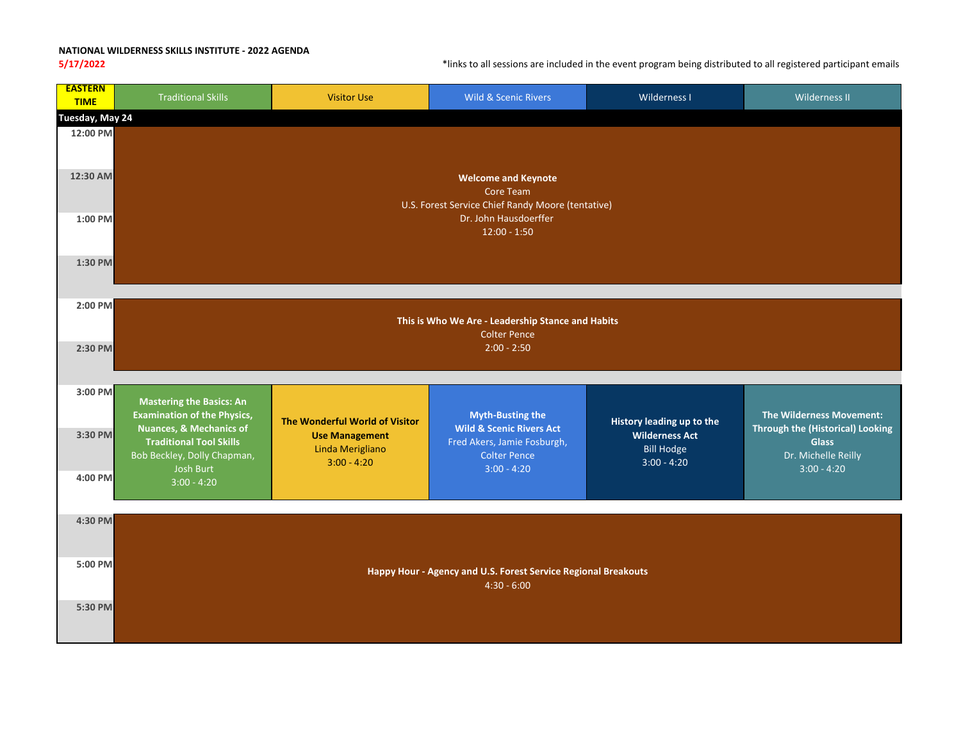## **NATIONAL WILDERNESS SKILLS INSTITUTE ‐ 2022 AGENDA**

**5/17/2022** \*links to all sessions are included in the event program being distributed to all registered participant emails

| <b>EASTERN</b><br><b>TIME</b> | <b>Traditional Skills</b>                                                                           | <b>Visitor Use</b>                                         | Wild & Scenic Rivers                                                                      | Wilderness I                                                | Wilderness II                                                                  |  |  |  |
|-------------------------------|-----------------------------------------------------------------------------------------------------|------------------------------------------------------------|-------------------------------------------------------------------------------------------|-------------------------------------------------------------|--------------------------------------------------------------------------------|--|--|--|
|                               | Tuesday, May 24                                                                                     |                                                            |                                                                                           |                                                             |                                                                                |  |  |  |
| 12:00 PM<br>12:30 AM          | <b>Welcome and Keynote</b>                                                                          |                                                            |                                                                                           |                                                             |                                                                                |  |  |  |
|                               | <b>Core Team</b><br>U.S. Forest Service Chief Randy Moore (tentative)                               |                                                            |                                                                                           |                                                             |                                                                                |  |  |  |
| 1:00 PM                       | Dr. John Hausdoerffer<br>$12:00 - 1:50$                                                             |                                                            |                                                                                           |                                                             |                                                                                |  |  |  |
| 1:30 PM                       |                                                                                                     |                                                            |                                                                                           |                                                             |                                                                                |  |  |  |
| 2:00 PM                       | This is Who We Are - Leadership Stance and Habits<br><b>Colter Pence</b>                            |                                                            |                                                                                           |                                                             |                                                                                |  |  |  |
| 2:30 PM                       | $2:00 - 2:50$                                                                                       |                                                            |                                                                                           |                                                             |                                                                                |  |  |  |
| 3:00 PM                       | <b>Mastering the Basics: An</b><br><b>Examination of the Physics,</b>                               | The Wonderful World of Visitor                             | <b>Myth-Busting the</b>                                                                   | History leading up to the                                   | <b>The Wilderness Movement:</b>                                                |  |  |  |
| 3:30 PM                       | <b>Nuances, &amp; Mechanics of</b><br><b>Traditional Tool Skills</b><br>Bob Beckley, Dolly Chapman, | <b>Use Management</b><br>Linda Merigliano<br>$3:00 - 4:20$ | <b>Wild &amp; Scenic Rivers Act</b><br>Fred Akers, Jamie Fosburgh,<br><b>Colter Pence</b> | <b>Wilderness Act</b><br><b>Bill Hodge</b><br>$3:00 - 4:20$ | <b>Through the (Historical) Looking</b><br><b>Glass</b><br>Dr. Michelle Reilly |  |  |  |
| 4:00 PM                       | Josh Burt<br>$3:00 - 4:20$                                                                          |                                                            | $3:00 - 4:20$                                                                             |                                                             | $3:00 - 4:20$                                                                  |  |  |  |
| 4:30 PM                       |                                                                                                     |                                                            |                                                                                           |                                                             |                                                                                |  |  |  |
| 5:00 PM                       | Happy Hour - Agency and U.S. Forest Service Regional Breakouts<br>$4:30 - 6:00$                     |                                                            |                                                                                           |                                                             |                                                                                |  |  |  |
| 5:30 PM                       |                                                                                                     |                                                            |                                                                                           |                                                             |                                                                                |  |  |  |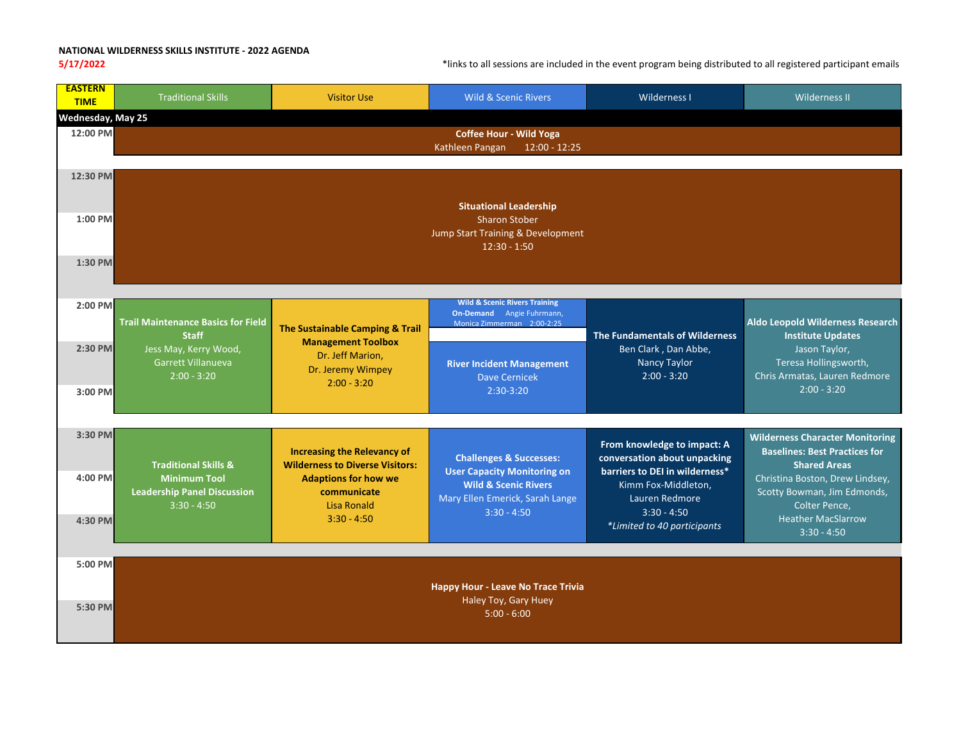## **NATIONAL WILDERNESS SKILLS INSTITUTE ‐ 2022 AGENDA**

**5/17/2022** \*links to all sessions are included in the event program being distributed to all registered participant emails

| <b>EASTERN</b><br><b>TIME</b> | <b>Traditional Skills</b>                                                                                                 | <b>Visitor Use</b>                                                                                                                                                | <b>Wild &amp; Scenic Rivers</b>                                                                                                                                 | Wilderness I                                                                                                                                                                           | <b>Wilderness II</b>                                                                                                                                                                         |  |  |
|-------------------------------|---------------------------------------------------------------------------------------------------------------------------|-------------------------------------------------------------------------------------------------------------------------------------------------------------------|-----------------------------------------------------------------------------------------------------------------------------------------------------------------|----------------------------------------------------------------------------------------------------------------------------------------------------------------------------------------|----------------------------------------------------------------------------------------------------------------------------------------------------------------------------------------------|--|--|
| Wednesday, May 25             |                                                                                                                           |                                                                                                                                                                   |                                                                                                                                                                 |                                                                                                                                                                                        |                                                                                                                                                                                              |  |  |
| 12:00 PM                      |                                                                                                                           |                                                                                                                                                                   | <b>Coffee Hour - Wild Yoga</b><br>$12:00 - 12:25$<br>Kathleen Pangan                                                                                            |                                                                                                                                                                                        |                                                                                                                                                                                              |  |  |
| 12:30 PM<br>1:00 PM           |                                                                                                                           |                                                                                                                                                                   | <b>Situational Leadership</b><br><b>Sharon Stober</b>                                                                                                           |                                                                                                                                                                                        |                                                                                                                                                                                              |  |  |
| 1:30 PM                       |                                                                                                                           |                                                                                                                                                                   | Jump Start Training & Development<br>$12:30 - 1:50$                                                                                                             |                                                                                                                                                                                        |                                                                                                                                                                                              |  |  |
| 2:00 PM                       | <b>Trail Maintenance Basics for Field</b><br><b>Staff</b><br>Jess May, Kerry Wood,<br>Garrett Villanueva<br>$2:00 - 3:20$ | The Sustainable Camping & Trail<br><b>Management Toolbox</b><br>Dr. Jeff Marion,<br>Dr. Jeremy Wimpey<br>$2:00 - 3:20$                                            | <b>Wild &amp; Scenic Rivers Training</b><br>On-Demand Angie Fuhrmann,<br>Monica Zimmerman 2:00-2:25                                                             | <b>The Fundamentals of Wilderness</b><br>Ben Clark, Dan Abbe,<br><b>Nancy Taylor</b><br>$2:00 - 3:20$                                                                                  | Aldo Leopold Wilderness Research<br><b>Institute Updates</b><br>Jason Taylor,<br>Teresa Hollingsworth,<br>Chris Armatas, Lauren Redmore<br>$2:00 - 3:20$                                     |  |  |
| 2:30 PM<br>3:00 PM            |                                                                                                                           |                                                                                                                                                                   | <b>River Incident Management</b><br><b>Dave Cernicek</b><br>$2:30-3:20$                                                                                         |                                                                                                                                                                                        |                                                                                                                                                                                              |  |  |
| 3:30 PM                       |                                                                                                                           |                                                                                                                                                                   |                                                                                                                                                                 |                                                                                                                                                                                        | <b>Wilderness Character Monitoring</b>                                                                                                                                                       |  |  |
| 4:00 PM<br>4:30 PM            | <b>Traditional Skills &amp;</b><br><b>Minimum Tool</b><br><b>Leadership Panel Discussion</b><br>$3:30 - 4:50$             | <b>Increasing the Relevancy of</b><br><b>Wilderness to Diverse Visitors:</b><br><b>Adaptions for how we</b><br>communicate<br><b>Lisa Ronald</b><br>$3:30 - 4:50$ | <b>Challenges &amp; Successes:</b><br><b>User Capacity Monitoring on</b><br><b>Wild &amp; Scenic Rivers</b><br>Mary Ellen Emerick, Sarah Lange<br>$3:30 - 4:50$ | From knowledge to impact: A<br>conversation about unpacking<br>barriers to DEI in wilderness*<br>Kimm Fox-Middleton,<br>Lauren Redmore<br>$3:30 - 4:50$<br>*Limited to 40 participants | <b>Baselines: Best Practices for</b><br><b>Shared Areas</b><br>Christina Boston, Drew Lindsey,<br>Scotty Bowman, Jim Edmonds,<br>Colter Pence,<br><b>Heather MacSlarrow</b><br>$3:30 - 4:50$ |  |  |
| 5:00 PM                       |                                                                                                                           |                                                                                                                                                                   |                                                                                                                                                                 |                                                                                                                                                                                        |                                                                                                                                                                                              |  |  |
|                               | <b>Happy Hour - Leave No Trace Trivia</b>                                                                                 |                                                                                                                                                                   |                                                                                                                                                                 |                                                                                                                                                                                        |                                                                                                                                                                                              |  |  |
| 5:30 PM                       | Haley Toy, Gary Huey<br>$5:00 - 6:00$                                                                                     |                                                                                                                                                                   |                                                                                                                                                                 |                                                                                                                                                                                        |                                                                                                                                                                                              |  |  |